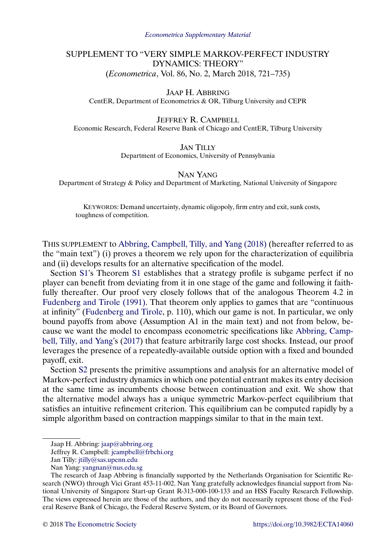# <span id="page-0-0"></span>SUPPLEMENT TO "VERY SIMPLE MARKOV-PERFECT INDUSTRY DYNAMICS: THEORY" (*Econometrica*, Vol. 86, No. 2, March 2018, 721–735)

JAAP H. ABBRING CentER, Department of Econometrics & OR, Tilburg University and CEPR

JEFFREY R. CAMPBELL Economic Research, Federal Reserve Bank of Chicago and CentER, Tilburg University

> JAN TILLY Department of Economics, University of Pennsylvania

> > NAN YANG

Department of Strategy & Policy and Department of Marketing, National University of Singapore

KEYWORDS: Demand uncertainty, dynamic oligopoly, firm entry and exit, sunk costs, toughness of competition.

THIS SUPPLEMENT to [Abbring, Campbell, Tilly, and Yang \(2018\)](#page-15-0) (hereafter referred to as the "main text") (i) proves a theorem we rely upon for the characterization of equilibria and (ii) develops results for an alternative specification of the model.

Section [S1'](#page-1-0)s Theorem [S1](#page-3-0) establishes that a strategy profile is subgame perfect if no player can benefit from deviating from it in one stage of the game and following it faithfully thereafter. Our proof very closely follows that of the analogous Theorem 4.2 in [Fudenberg and Tirole \(1991\).](#page-15-0) That theorem only applies to games that are "continuous at infinity" [\(Fudenberg and Tirole,](#page-15-0) p. 110), which our game is not. In particular, we only bound payoffs from above (Assumption A1 in the main text) and not from below, because we want the model to encompass econometric specifications like [Abbring, Camp](#page-15-0)[bell, Tilly, and Yang'](#page-15-0)s [\(2017\)](#page-15-0) that feature arbitrarily large cost shocks. Instead, our proof leverages the presence of a repeatedly-available outside option with a fixed and bounded payoff, exit.

Section [S2](#page-4-0) presents the primitive assumptions and analysis for an alternative model of Markov-perfect industry dynamics in which one potential entrant makes its entry decision at the same time as incumbents choose between continuation and exit. We show that the alternative model always has a unique symmetric Markov-perfect equilibrium that satisfies an intuitive refinement criterion. This equilibrium can be computed rapidly by a simple algorithm based on contraction mappings similar to that in the main text.

Jaap H. Abbring: [jaap@abbring.org](mailto:jaap@abbring.org)

Jeffrey R. Campbell: [jcampbell@frbchi.org](mailto:jcampbell@frbchi.org)

Jan Tilly: [jtilly@sas.upenn.edu](mailto:jtilly@sas.upenn.edu)

Nan Yang: [yangnan@nus.edu.sg](mailto:yangnan@nus.edu.sg)

The research of Jaap Abbring is financially supported by the Netherlands Organisation for Scientific Research (NWO) through Vici Grant 453-11-002. Nan Yang gratefully acknowledges financial support from National University of Singapore Start-up Grant R-313-000-100-133 and an HSS Faculty Research Fellowship. The views expressed herein are those of the authors, and they do not necessarily represent those of the Federal Reserve Bank of Chicago, the Federal Reserve System, or its Board of Governors.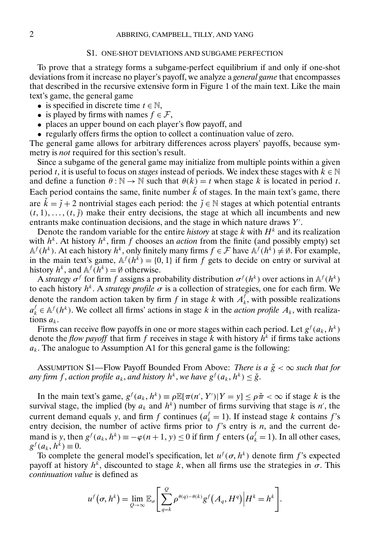# S1. ONE-SHOT DEVIATIONS AND SUBGAME PERFECTION

<span id="page-1-0"></span>To prove that a strategy forms a subgame-perfect equilibrium if and only if one-shot deviations from it increase no player's payoff, we analyze a *general game* that encompasses that described in the recursive extensive form in Figure 1 of the main text. Like the main text's game, the general game

- is specified in discrete time  $t \in \mathbb{N}$ ,
- is played by firms with names  $f \in \mathcal{F}$ ,
- places an upper bound on each player's flow payoff, and
- regularly offers firms the option to collect a continuation value of zero.

The general game allows for arbitrary differences across players' payoffs, because symmetry is *not* required for this section's result.

Since a subgame of the general game may initialize from multiple points within a given period t, it is useful to focus on *stages* instead of periods. We index these stages with  $k \in \mathbb{N}$ and define a function  $\theta : \mathbb{N} \to \mathbb{N}$  such that  $\theta(k) = t$  when stage k is located in period t. Each period contains the same, finite number  $\dot{k}$  of stages. In the main text's game, there are  $k = j + 2$  nontrivial stages each period: the  $j \in \mathbb{N}$  stages at which potential entrants  $(t, 1), \ldots, (t, \tilde{t})$  make their entry decisions, the stage at which all incumbents and new entrants make continuation decisions, and the stage in which nature draws Y'.

Denote the random variable for the entire *history* at stage  $k$  with  $H<sup>k</sup>$  and its realization with  $h^k$ . At history  $h^k$ , firm f chooses an *action* from the finite (and possibly empty) set  $A^f(h^k)$ . At each history  $h^k$ , only finitely many firms  $f \in \mathcal{F}$  have  $A^f(h^k) \neq \emptyset$ . For example, in the main text's game,  $\mathbb{A}^f(h^k) = \{0, 1\}$  if firm f gets to decide on entry or survival at history  $h^k$ , and  $\mathbb{A}^f(h^k) = \emptyset$  otherwise.

A *strategy*  $\sigma^f$  for firm f assigns a probability distribution  $\sigma^f(h^k)$  over actions in  $\mathbb{A}^f(h^k)$ to each history  $h^k$ . A *strategy profile*  $\sigma$  is a collection of strategies, one for each firm. We denote the random action taken by firm f in stage k with  $A_k^f$ , with possible realizations  $a_k^f \in \mathbb{A}^f(h^k)$ . We collect all firms' actions in stage k in the *action profile*  $A_k$ , with realizations  $a_k$ .

Firms can receive flow payoffs in one or more stages within each period. Let  $g^f(a_k, h^k)$ denote the *flow payoff* that firm f receives in stage k with history  $h^k$  if firms take actions  $a_k$ . The analogue to Assumption A1 for this general game is the following:

ASSUMPTION S1—Flow Payoff Bounded From Above: *There is a*  $\breve{g} < \infty$  *such that for any firm* f, *action profile*  $a_k$ , *and history*  $h^k$ , *we have*  $g^f(a_k, h^k) \le \check{g}$ .

In the main text's game,  $g^f(a_k, h^k) \equiv \rho \mathbb{E}[\pi(n', Y') | Y = y] \le \rho \check{\pi} < \infty$  if stage k is the survival stage, the implied (by  $a_k$  and  $h^k$ ) number of firms surviving that stage is n', the current demand equals y, and firm f continues  $(a_k^f = 1)$ . If instead stage k contains f's entry decision, the number of active firms prior to  $f$ 's entry is  $n$ , and the current demand is y, then  $g^f(a_k, h^k) \equiv -\varphi(n+1, y) \le 0$  if firm f enters  $(a_k^f = 1)$ . In all other cases,  $g^f(a_k, h^k) \equiv 0.$ 

To complete the general model's specification, let  $u^f(\sigma, h^k)$  denote firm f's expected payoff at history  $h^k$ , discounted to stage k, when all firms use the strategies in  $\sigma$ . This *continuation value* is defined as

$$
u^f(\sigma, h^k) = \lim_{Q \to \infty} \mathbb{E}_{\sigma} \left[ \sum_{q=k}^Q \rho^{\theta(q) - \theta(k)} g^f(A_q, H^q) \Big| H^k = h^k \right].
$$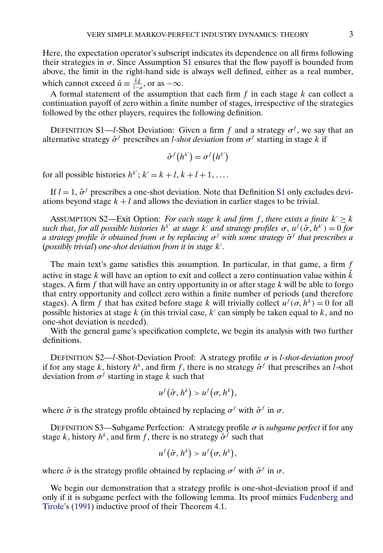<span id="page-2-0"></span>Here, the expectation operator's subscript indicates its dependence on all firms following their strategies in  $\sigma$ . Since Assumption [S1](#page-1-0) ensures that the flow payoff is bounded from above, the limit in the right-hand side is always well defined, either as a real number, which cannot exceed  $\check{u} \equiv \frac{\check{k}\check{g}}{1-\rho}$ , or as  $-\infty$ .

A formal statement of the assumption that each firm  $f$  in each stage  $k$  can collect a continuation payoff of zero within a finite number of stages, irrespective of the strategies followed by the other players, requires the following definition.

DEFINITION S1—*l*-Shot Deviation: Given a firm f and a strategy  $\sigma^f$ , we say that an alternative strategy  $\hat{\sigma}^f$  prescribes an *l-shot deviation* from  $\sigma^f$  starting in stage k if

$$
\hat{\sigma}^f(h^{k'}) = \sigma^f(h^{k'})
$$

for all possible histories  $h^{k'}$ ;  $k' = k + l, k + l + 1, \ldots$ .

If  $l = 1$ ,  $\hat{\sigma}^f$  prescribes a one-shot deviation. Note that Definition S1 only excludes deviations beyond stage  $k + l$  and allows the deviation in earlier stages to be trivial.

ASSUMPTION S2—Exit Option: *For each stage k and firm* f, *there exists a finite*  $k' \geq k$ *such that, for all possible histories*  $h^{k'}$  at stage  $k'$  and strategy profiles  $\sigma$ ,  $u^f(\hat{\sigma}, h^{k'}) = 0$  for *a strategy profile* σˆ *obtained from* σ *by replacing* σf *with some strategy* σˆ <sup>f</sup> *that prescribes a* (*possibly trivial*) *one-shot deviation from it in stage* k .

The main text's game satisfies this assumption. In particular, in that game, a firm  $f$ active in stage k will have an option to exit and collect a zero continuation value within  $\vec{k}$ stages. A firm f that will have an entry opportunity in or after stage  $k$  will be able to forgo that entry opportunity and collect zero within a finite number of periods (and therefore stages). A firm f that has exited before stage k will trivially collect  $u^f(\sigma, h^k) = 0$  for all possible histories at stage k (in this trivial case, k' can simply be taken equal to k, and no one-shot deviation is needed).

With the general game's specification complete, we begin its analysis with two further definitions.

DEFINITION S2—l-Shot-Deviation Proof: A strategy profile σ is l*-shot-deviation proof* if for any stage k, history  $h^k$ , and firm f, there is no strategy  $\hat{\sigma}^f$  that prescribes an l-shot deviation from  $\sigma^f$  starting in stage k such that

$$
u^f(\hat{\sigma}, h^k) > u^f(\sigma, h^k),
$$

where  $\hat{\sigma}$  is the strategy profile obtained by replacing  $\sigma^f$  with  $\hat{\sigma}^f$  in  $\sigma$ .

DEFINITION S3—Subgame Perfection: A strategy profile σ is *subgame perfect* if for any stage k, history  $h^k$ , and firm f, there is no strategy  $\hat{\sigma}^f$  such that

$$
u^f(\hat{\sigma}, h^k) > u^f(\sigma, h^k),
$$

where  $\hat{\sigma}$  is the strategy profile obtained by replacing  $\sigma^f$  with  $\hat{\sigma}^f$  in  $\sigma$ .

We begin our demonstration that a strategy profile is one-shot-deviation proof if and only if it is subgame perfect with the following lemma. Its proof mimics [Fudenberg and](#page-15-0) [Tirole'](#page-15-0)s [\(1991\)](#page-15-0) inductive proof of their Theorem 4.1.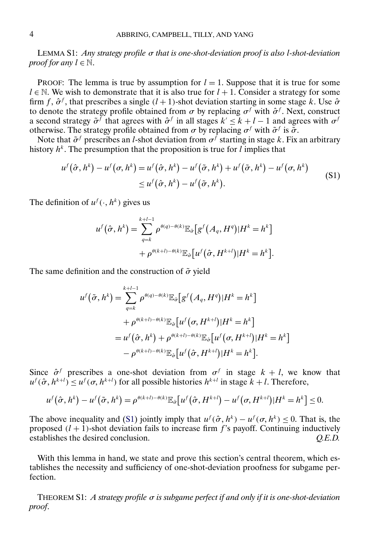<span id="page-3-0"></span>LEMMA S1: *Any strategy profile* σ *that is one-shot-deviation proof is also* l*-shot-deviation proof for any*  $l \in \mathbb{N}$ .

PROOF: The lemma is true by assumption for  $l = 1$ . Suppose that it is true for some  $l \in \mathbb{N}$ . We wish to demonstrate that it is also true for  $l + 1$ . Consider a strategy for some firm f,  $\hat{\sigma}^f$ , that prescribes a single  $(l + 1)$ -shot deviation starting in some stage k. Use  $\hat{\sigma}$ to denote the strategy profile obtained from  $\sigma$  by replacing  $\sigma^f$  with  $\hat{\sigma}^f$ . Next, construct a second strategy  $\tilde{\sigma}^f$  that agrees with  $\hat{\sigma}^f$  in all stages  $k' \leq k + l - 1$  and agrees with  $\sigma^f$ otherwise. The strategy profile obtained from  $\sigma$  by replacing  $\sigma^f$  with  $\tilde{\sigma}^f$  is  $\tilde{\sigma}$ .

Note that  $\tilde{\sigma}^f$  prescribes an *l*-shot deviation from  $\sigma^f$  starting in stage k. Fix an arbitrary history  $h^k$ . The presumption that the proposition is true for l implies that

$$
u^f(\hat{\sigma}, h^k) - u^f(\sigma, h^k) = u^f(\hat{\sigma}, h^k) - u^f(\tilde{\sigma}, h^k) + u^f(\tilde{\sigma}, h^k) - u^f(\sigma, h^k)
$$
  
 
$$
\leq u^f(\hat{\sigma}, h^k) - u^f(\tilde{\sigma}, h^k). \tag{S1}
$$

The definition of  $u^f(\cdot, h^k)$  gives us

$$
u^f(\hat{\sigma}, h^k) = \sum_{q=k}^{k+l-1} \rho^{\theta(q)-\theta(k)} \mathbb{E}_{\hat{\sigma}}[g^f(A_q, H^q)|H^k = h^k]
$$
  
+ 
$$
\rho^{\theta(k+l)-\theta(k)} \mathbb{E}_{\hat{\sigma}}[u^f(\hat{\sigma}, H^{k+l})|H^k = h^k].
$$

The same definition and the construction of  $\tilde{\sigma}$  yield

$$
u^f(\tilde{\sigma}, h^k) = \sum_{q=k}^{k+l-1} \rho^{\theta(q) - \theta(k)} \mathbb{E}_{\tilde{\sigma}} \big[ g^f(A_q, H^q) | H^k = h^k \big] + \rho^{\theta(k+l) - \theta(k)} \mathbb{E}_{\tilde{\sigma}} \big[ u^f(\sigma, H^{k+l}) | H^k = h^k \big] = u^f(\hat{\sigma}, h^k) + \rho^{\theta(k+l) - \theta(k)} \mathbb{E}_{\tilde{\sigma}} \big[ u^f(\sigma, H^{k+l}) | H^k = h^k \big] - \rho^{\theta(k+l) - \theta(k)} \mathbb{E}_{\tilde{\sigma}} \big[ u^f(\hat{\sigma}, H^{k+l}) | H^k = h^k \big].
$$

Since  $\hat{\sigma}^f$  prescribes a one-shot deviation from  $\sigma^f$  in stage  $k + l$ , we know that  $u^f(\hat{\sigma}, h^{k+l}) \le u^f(\sigma, h^{k+l})$  for all possible histories  $h^{k+l}$  in stage  $k+l$ . Therefore,

$$
u^f(\hat{\sigma},h^k)-u^f(\tilde{\sigma},h^k)=\rho^{\theta(k+l)-\theta(k)}\mathbb{E}_{\hat{\sigma}}\big[u^f(\hat{\sigma},H^{k+l})-u^f(\sigma,H^{k+l})|H^k=h^k\big]\leq 0.
$$

The above inequality and (S1) jointly imply that  $u^f(\hat{\sigma}, h^k) - u^f(\sigma, h^k) \leq 0$ . That is, the proposed  $(l + 1)$ -shot deviation fails to increase firm f's payoff. Continuing inductively establishes the desired conclusion. *Q.E.D.*

With this lemma in hand, we state and prove this section's central theorem, which establishes the necessity and sufficiency of one-shot-deviation proofness for subgame perfection.

THEOREM S1: *A strategy profile* σ *is subgame perfect if and only if it is one-shot-deviation proof*.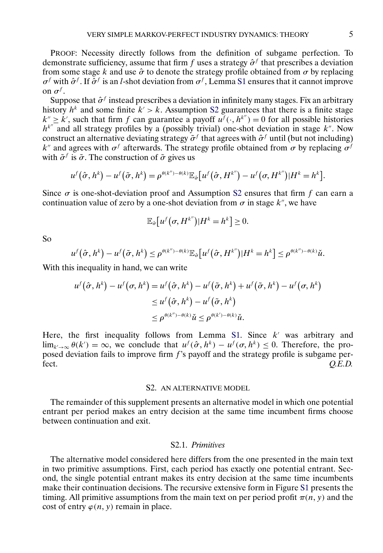<span id="page-4-0"></span>PROOF: Necessity directly follows from the definition of subgame perfection. To demonstrate sufficiency, assume that firm f uses a strategy  $\hat{\sigma}^f$  that prescribes a deviation from some stage k and use  $\hat{\sigma}$  to denote the strategy profile obtained from  $\sigma$  by replacing  $\sigma^f$  with  $\hat{\sigma}^f$ . If  $\hat{\sigma}^f$  is an *l*-shot deviation from  $\sigma^f$ , Lemma [S1](#page-3-0) ensures that it cannot improve on  $\sigma^f$ .

Suppose that  $\hat{\sigma}^f$  instead prescribes a deviation in infinitely many stages. Fix an arbitrary history  $h^k$  and some finite  $k' > k$ . Assumption [S2](#page-2-0) guarantees that there is a finite stage  $k'' \geq k'$ , such that firm f can guarantee a payoff  $u^f(\cdot, h^{k''}) = 0$  for all possible histories  $h^{k''}$  and all strategy profiles by a (possibly trivial) one-shot deviation in stage k". Now construct an alternative deviating strategy  $\tilde{\sigma}^f$  that agrees with  $\hat{\sigma}^f$  until (but not including) k" and agrees with  $\sigma^f$  afterwards. The strategy profile obtained from  $\sigma$  by replacing  $\sigma^f$ with  $\tilde{\sigma}^f$  is  $\tilde{\sigma}$ . The construction of  $\tilde{\sigma}$  gives us

$$
u^f(\hat{\sigma},h^k) - u^f(\tilde{\sigma},h^k) = \rho^{\theta(k'')-\theta(k)} \mathbb{E}_{\hat{\sigma}} \big[ u^f(\hat{\sigma},H^{k''}) - u^f(\sigma,H^{k''}) | H^k = h^k \big].
$$

Since  $\sigma$  is one-shot-deviation proof and Assumption [S2](#page-2-0) ensures that firm f can earn a continuation value of zero by a one-shot deviation from  $\sigma$  in stage  $k^{\prime\prime}$ , we have

$$
\mathbb{E}_{\hat{\sigma}}\big[u^f\big(\sigma, H^{k''}\big)|H^k=h^k\big]\geq 0.
$$

So

$$
u^f(\hat{\sigma},h^k)-u^f(\tilde{\sigma},h^k)\leq \rho^{\theta(k'')-\theta(k)}\mathbb{E}_{\hat{\sigma}}\big[u^f(\hat{\sigma},H^{k''})|H^k=h^k\big]\leq \rho^{\theta(k'')-\theta(k)}\check{u}.
$$

With this inequality in hand, we can write

$$
u^f(\hat{\sigma}, h^k) - u^f(\sigma, h^k) = u^f(\hat{\sigma}, h^k) - u^f(\tilde{\sigma}, h^k) + u^f(\tilde{\sigma}, h^k) - u^f(\sigma, h^k)
$$
  

$$
\leq u^f(\hat{\sigma}, h^k) - u^f(\tilde{\sigma}, h^k)
$$
  

$$
\leq \rho^{\theta(k'') - \theta(k)} \check{u} \leq \rho^{\theta(k') - \theta(k)} \check{u}.
$$

Here, the first inequality follows from Lemma [S1.](#page-3-0) Since  $k'$  was arbitrary and  $\lim_{k'\to\infty} \theta(k') = \infty$ , we conclude that  $u^f(\hat{\sigma}, h^k) - u^f(\sigma, h^k) \leq 0$ . Therefore, the proposed deviation fails to improve firm  $f$ 's payoff and the strategy profile is subgame perfect. *Q.E.D.*

# S2. AN ALTERNATIVE MODEL

The remainder of this supplement presents an alternative model in which one potential entrant per period makes an entry decision at the same time incumbent firms choose between continuation and exit.

#### S2.1. *Primitives*

The alternative model considered here differs from the one presented in the main text in two primitive assumptions. First, each period has exactly one potential entrant. Second, the single potential entrant makes its entry decision at the same time incumbents make their continuation decisions. The recursive extensive form in Figure [S1](#page-5-0) presents the timing. All primitive assumptions from the main text on per period profit  $\pi(n, y)$  and the cost of entry  $\varphi(n, y)$  remain in place.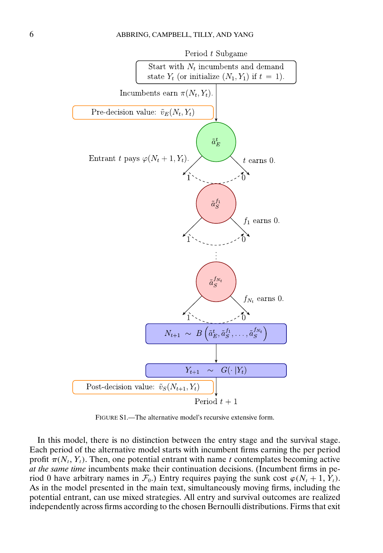<span id="page-5-0"></span>

FIGURE S1.—The alternative model's recursive extensive form.

In this model, there is no distinction between the entry stage and the survival stage. Each period of the alternative model starts with incumbent firms earning the per period profit  $\pi(N_t, Y_t)$ . Then, one potential entrant with name t contemplates becoming active *at the same time* incumbents make their continuation decisions. (Incumbent firms in period 0 have arbitrary names in  $\mathcal{F}_0$ .) Entry requires paying the sunk cost  $\varphi(N_t + 1, Y_t)$ . As in the model presented in the main text, simultaneously moving firms, including the potential entrant, can use mixed strategies. All entry and survival outcomes are realized independently across firms according to the chosen Bernoulli distributions. Firms that exit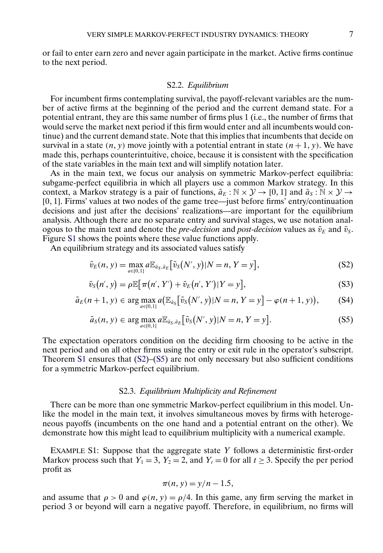<span id="page-6-0"></span>or fail to enter earn zero and never again participate in the market. Active firms continue to the next period.

# S2.2. *Equilibrium*

For incumbent firms contemplating survival, the payoff-relevant variables are the number of active firms at the beginning of the period and the current demand state. For a potential entrant, they are this same number of firms plus 1 (i.e., the number of firms that would serve the market next period if this firm would enter and all incumbents would continue) and the current demand state. Note that this implies that incumbents that decide on survival in a state  $(n, y)$  move jointly with a potential entrant in state  $(n + 1, y)$ . We have made this, perhaps counterintuitive, choice, because it is consistent with the specification of the state variables in the main text and will simplify notation later.

As in the main text, we focus our analysis on symmetric Markov-perfect equilibria: subgame-perfect equilibria in which all players use a common Markov strategy. In this context, a Markov strategy is a pair of functions,  $\tilde{a}_E : \mathbb{N} \times \mathcal{Y} \to [0, 1]$  and  $\tilde{a}_S : \mathbb{N} \times \mathcal{Y} \to$ [0 1]. Firms' values at two nodes of the game tree—just before firms' entry/continuation decisions and just after the decisions' realizations—are important for the equilibrium analysis. Although there are no separate entry and survival stages, we use notation analogous to the main text and denote the *pre-decision* and *post-decision* values as  $\tilde{v}_E$  and  $\tilde{v}_S$ . Figure [S1](#page-5-0) shows the points where these value functions apply.

An equilibrium strategy and its associated values satisfy

$$
\tilde{v}_E(n, y) = \max_{a \in [0, 1]} a \mathbb{E}_{\tilde{a}_S, \tilde{a}_E} [\tilde{v}_S(N', y)|N = n, Y = y],
$$
\n(S2)

$$
\tilde{v}_S(n', y) = \rho \mathbb{E}[\pi(n', Y') + \tilde{v}_E(n', Y') | Y = y], \tag{S3}
$$

$$
\tilde{a}_E(n+1, y) \in \arg\max_{a \in [0,1]} a\big(\mathbb{E}_{\tilde{a}_S}[\tilde{v}_S(N', y)|N = n, Y = y\big] - \varphi(n+1, y)\big),\tag{S4}
$$

$$
\tilde{a}_S(n, y) \in \arg\max_{a \in [0,1]} a \mathbb{E}_{\tilde{a}_S, \tilde{a}_E} \big[ \tilde{v}_S(N', y)|N = n, Y = y \big]. \tag{S5}
$$

The expectation operators condition on the deciding firm choosing to be active in the next period and on all other firms using the entry or exit rule in the operator's subscript. Theorem [S1](#page-3-0) ensures that  $(S2)$ – $(S5)$  are not only necessary but also sufficient conditions for a symmetric Markov-perfect equilibrium.

# S2.3. *Equilibrium Multiplicity and Refinement*

There can be more than one symmetric Markov-perfect equilibrium in this model. Unlike the model in the main text, it involves simultaneous moves by firms with heterogeneous payoffs (incumbents on the one hand and a potential entrant on the other). We demonstrate how this might lead to equilibrium multiplicity with a numerical example.

EXAMPLE S1: Suppose that the aggregate state Y follows a deterministic first-order Markov process such that  $Y_1 = 3$ ,  $Y_2 = 2$ , and  $Y_t = 0$  for all  $t \ge 3$ . Specify the per period profit as

$$
\pi(n, y) = y/n - 1.5,
$$

and assume that  $\rho > 0$  and  $\varphi(n, y) = \rho/4$ . In this game, any firm serving the market in period 3 or beyond will earn a negative payoff. Therefore, in equilibrium, no firms will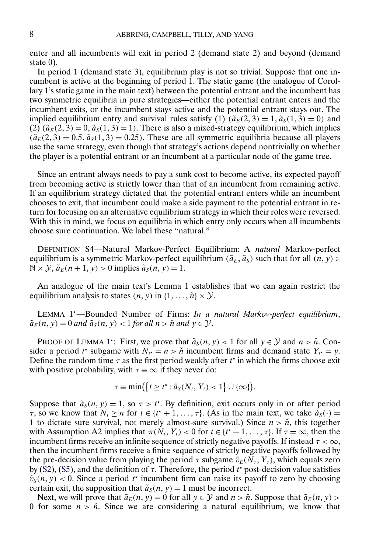enter and all incumbents will exit in period 2 (demand state 2) and beyond (demand state 0).

In period 1 (demand state 3), equilibrium play is not so trivial. Suppose that one incumbent is active at the beginning of period 1. The static game (the analogue of Corollary 1's static game in the main text) between the potential entrant and the incumbent has two symmetric equilibria in pure strategies—either the potential entrant enters and the incumbent exits, or the incumbent stays active and the potential entrant stays out. The implied equilibrium entry and survival rules satisfy (1)  $(\tilde{a}_E(2,3) = 1, \tilde{a}_S(1,3) = 0)$  and  $(2)$   $(\tilde{a}_E(2, 3) = 0, \tilde{a}_S(1, 3) = 1)$ . There is also a mixed-strategy equilibrium, which implies  $(\tilde{a}_E(2, 3) = 0.5, \tilde{a}_S(1, 3) = 0.25)$ . These are all symmetric equilibria because all players use the same strategy, even though that strategy's actions depend nontrivially on whether the player is a potential entrant or an incumbent at a particular node of the game tree.

Since an entrant always needs to pay a sunk cost to become active, its expected payoff from becoming active is strictly lower than that of an incumbent from remaining active. If an equilibrium strategy dictated that the potential entrant enters while an incumbent chooses to exit, that incumbent could make a side payment to the potential entrant in return for focusing on an alternative equilibrium strategy in which their roles were reversed. With this in mind, we focus on equilibria in which entry only occurs when all incumbents choose sure continuation. We label these "natural."

DEFINITION S4—Natural Markov-Perfect Equilibrium: A *natural* Markov-perfect equilibrium is a symmetric Markov-perfect equilibrium ( $\tilde{a}_E$ ,  $\tilde{a}_S$ ) such that for all  $(n, y) \in$  $\mathbb{N} \times \mathcal{Y}, \tilde{a}_E(n+1, y) > 0$  implies  $\tilde{a}_S(n, y) = 1$ .

An analogue of the main text's Lemma 1 establishes that we can again restrict the equilibrium analysis to states  $(n, y)$  in  $\{1, \ldots, \check{n}\} \times \mathcal{Y}$ .

LEMMA 1 —Bounded Number of Firms: *In a natural Markov-perfect equilibrium*,  $\tilde{a}_E(n, y) = 0$  and  $\tilde{a}_S(n, y) < 1$  for all  $n > \tilde{n}$  and  $y \in \mathcal{Y}$ .

PROOF OF LEMMA 1<sup>\*</sup>: First, we prove that  $\tilde{a}_s(n, y) < 1$  for all  $y \in \mathcal{Y}$  and  $n > \tilde{n}$ . Consider a period t<sup>\*</sup> subgame with  $N_{t^*} = n > \tilde{n}$  incumbent firms and demand state  $Y_{t^*} = y$ . Define the random time  $\tau$  as the first period weakly after  $t^*$  in which the firms choose exit with positive probability, with  $\tau = \infty$  if they never do:

$$
\tau \equiv \min\bigl(\bigl\{t \ge t^\star : \tilde{a}_S(N_t, Y_t) < 1\bigr\} \cup \{\infty\}\bigr).
$$

Suppose that  $\tilde{a}_s(n, y) = 1$ , so  $\tau > t^*$ . By definition, exit occurs only in or after period  $\tau$ , so we know that  $N_t \ge n$  for  $t \in \{t^* + 1, \ldots, \tau\}$ . (As in the main text, we take  $\tilde{a}_s(\cdot) =$ 1 to dictate sure survival, not merely almost-sure survival.) Since  $n > \check{n}$ , this together with Assumption A2 implies that  $\pi(N_t, Y_t) < 0$  for  $t \in \{t^* + 1, \ldots, \tau\}$ . If  $\tau = \infty$ , then the incumbent firms receive an infinite sequence of strictly negative payoffs. If instead  $\tau < \infty$ , then the incumbent firms receive a finite sequence of strictly negative payoffs followed by the pre-decision value from playing the period  $\tau$  subgame  $\tilde{v}_E(N_\tau, Y_\tau)$ , which equals zero by [\(S2\)](#page-6-0), [\(S5\)](#page-6-0), and the definition of  $\tau$ . Therefore, the period  $t^*$  post-decision value satisfies  $\tilde{v}_s(n, y)$  < 0. Since a period  $t^*$  incumbent firm can raise its payoff to zero by choosing certain exit, the supposition that  $\tilde{a}_s(n, y) = 1$  must be incorrect.

Next, we will prove that  $\tilde{a}_E(n, y) = 0$  for all  $y \in \mathcal{Y}$  and  $n > \tilde{n}$ . Suppose that  $\tilde{a}_E(n, y) >$ 0 for some  $n > n$ . Since we are considering a natural equilibrium, we know that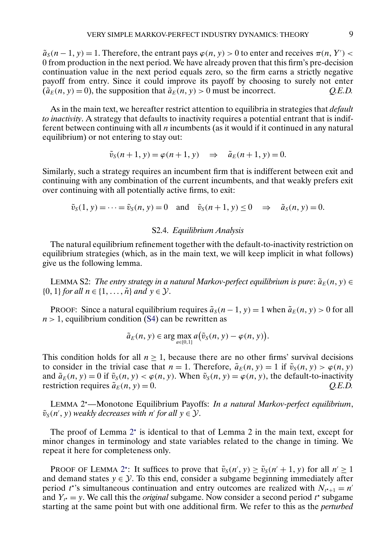<span id="page-8-0"></span> $\tilde{a}_s(n-1, y) = 1$ . Therefore, the entrant pays  $\varphi(n, y) > 0$  to enter and receives  $\pi(n, Y') <$ 0 from production in the next period. We have already proven that this firm's pre-decision continuation value in the next period equals zero, so the firm earns a strictly negative payoff from entry. Since it could improve its payoff by choosing to surely not enter  $(\tilde{a}_E(n, y) = 0)$ , the supposition that  $\tilde{a}_E(n, y) > 0$  must be incorrect. *Q.E.D.* 

As in the main text, we hereafter restrict attention to equilibria in strategies that *default to inactivity*. A strategy that defaults to inactivity requires a potential entrant that is indifferent between continuing with all  $n$  incumbents (as it would if it continued in any natural equilibrium) or not entering to stay out:

$$
\tilde{v}_S(n+1, y) = \varphi(n+1, y) \quad \Rightarrow \quad \tilde{a}_E(n+1, y) = 0.
$$

Similarly, such a strategy requires an incumbent firm that is indifferent between exit and continuing with any combination of the current incumbents, and that weakly prefers exit over continuing with all potentially active firms, to exit:

$$
\tilde{v}_S(1, y) = \cdots = \tilde{v}_S(n, y) = 0
$$
 and  $\tilde{v}_S(n+1, y) \le 0 \Rightarrow \tilde{a}_S(n, y) = 0.$ 

### S2.4. *Equilibrium Analysis*

The natural equilibrium refinement together with the default-to-inactivity restriction on equilibrium strategies (which, as in the main text, we will keep implicit in what follows) give us the following lemma.

LEMMA S2: *The entry strategy in a natural Markov-perfect equilibrium is pure*:  $\tilde{a}_E(n, y) \in$  $\{0, 1\}$  *for all*  $n \in \{1, \ldots, n\}$  *and*  $v \in \mathcal{Y}$ .

PROOF: Since a natural equilibrium requires  $\tilde{a}_{S}(n-1, y) = 1$  when  $\tilde{a}_{E}(n, y) > 0$  for all  $n > 1$ , equilibrium condition [\(S4\)](#page-6-0) can be rewritten as

$$
\tilde{a}_E(n, y) \in \arg\max_{a \in [0, 1]} a(\tilde{v}_S(n, y) - \varphi(n, y)).
$$

This condition holds for all  $n \geq 1$ , because there are no other firms' survival decisions to consider in the trivial case that  $n = 1$ . Therefore,  $\tilde{a}_E(n, y) = 1$  if  $\tilde{v}_S(n, y) > \varphi(n, y)$ and  $\tilde{a}_E(n, y) = 0$  if  $\tilde{v}_S(n, y) < \varphi(n, y)$ . When  $\tilde{v}_S(n, y) = \varphi(n, y)$ , the default-to-inactivity restriction requires  $\tilde{a}_E(n, y) = 0.$  *Q.E.D.* 

LEMMA 2 —Monotone Equilibrium Payoffs: *In a natural Markov-perfect equilibrium*,  $\tilde{v}_S(n', y)$  weakly decreases with *n'* for all  $y \in \mathcal{Y}$ .

The proof of Lemma  $2^*$  is identical to that of Lemma 2 in the main text, except for minor changes in terminology and state variables related to the change in timing. We repeat it here for completeness only.

PROOF OF LEMMA 2<sup>\*</sup>: It suffices to prove that  $\tilde{v}_S(n', y) \ge \tilde{v}_S(n' + 1, y)$  for all  $n' \ge 1$ and demand states  $y \in \mathcal{Y}$ . To this end, consider a subgame beginning immediately after period *t*\*'s simultaneous continuation and entry outcomes are realized with  $N_{t^*+1} = n'$ and  $Y_{t^*} = y$ . We call this the *original* subgame. Now consider a second period  $t^*$  subgame starting at the same point but with one additional firm. We refer to this as the *perturbed*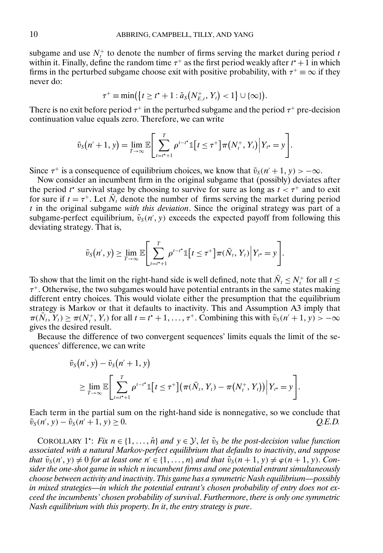<span id="page-9-0"></span>subgame and use  $N_t^+$  to denote the number of firms serving the market during period t within it. Finally, define the random time  $\tau^+$  as the first period weakly after  $t^* + 1$  in which firms in the perturbed subgame choose exit with positive probability, with  $\tau^+ \equiv \infty$  if they never do:

$$
\tau^+ \equiv \min(\{t \geq t^* + 1 : \tilde{a}_s(N_{E,t}^+, Y_t) < 1\} \cup \{\infty\}).
$$

There is no exit before period  $\tau^+$  in the perturbed subgame and the period  $\tau^+$  pre-decision continuation value equals zero. Therefore, we can write

$$
\tilde{v}_S(n'+1, y) = \lim_{T\to\infty} \mathbb{E}\Bigg[\sum_{t=t^*+1}^T \rho^{t-t^*} \mathbb{1}\big[t \leq \tau^+\big]\pi\big(N_t^+, Y_t\big)\Big| Y_{t^*} = y\Bigg].
$$

Since  $\tau^+$  is a consequence of equilibrium choices, we know that  $\tilde{v}_S(n' + 1, y) > -\infty$ .

Now consider an incumbent firm in the original subgame that (possibly) deviates after the period  $t^*$  survival stage by choosing to survive for sure as long as  $t < \tau^+$  and to exit for sure if  $t = \tau^+$ . Let  $\overline{N_t}$  denote the number of firms serving the market during period t in the original subgame *with this deviation*. Since the original strategy was part of a subgame-perfect equilibrium,  $\tilde{v}_s(n', y)$  exceeds the expected payoff from following this deviating strategy. That is,

$$
\tilde{v}_S(n',y) \geq \lim_{T \to \infty} \mathbb{E} \Bigg[ \sum_{t=t^*+1}^T \rho^{t-t^*} \mathbb{1}\big[t \leq \tau^+\big] \pi(\bar{N}_t, Y_t) \Big| Y_{t^*} = y \Bigg].
$$

To show that the limit on the right-hand side is well defined, note that  $\bar{N}_t \le N_t^+$  for all  $t \le$  $\tau^+$ . Otherwise, the two subgames would have potential entrants in the same states making different entry choices. This would violate either the presumption that the equilibrium strategy is Markov or that it defaults to inactivity. This and Assumption A3 imply that  $\pi(\bar{N}_t, \tilde{Y}_t) \ge \pi(N_t^+, Y_t)$  for all  $t = t^+ + 1, \ldots, \tau^+$ . Combining this with  $\tilde{v}_S(n'+1, y) > -\infty$ gives the desired result.

Because the difference of two convergent sequences' limits equals the limit of the sequences' difference, we can write

$$
\tilde{v}_S(n',y) - \tilde{v}_S(n'+1,y) \n\geq \lim_{T\to\infty} \mathbb{E}\Bigg[\sum_{t=t^*+1}^T \rho^{t-t^*} \mathbb{1}\big[t \leq \tau^+\big] \big(\pi(\bar{N}_t,Y_t) - \pi(N_t^+,Y_t)\big)\Big|Y_{t^*} = y\Bigg].
$$

Each term in the partial sum on the right-hand side is nonnegative, so we conclude that  $\tilde{v}_S(n', y) - \tilde{v}_S(n' + 1, y) \ge 0.$  *Q.E.D.* 

COROLLARY 1<sup>\*</sup>: *Fix*  $n \in \{1, ..., \tilde{n}\}$  *and*  $y \in \mathcal{Y}$ , *let*  $\tilde{v}_s$  *be the post-decision value function associated with a natural Markov-perfect equilibrium that defaults to inactivity*, *and suppose that*  $\tilde{v}_s(n', y) \neq 0$  *for at least one*  $n' \in \{1, ..., n\}$  *and that*  $\tilde{v}_s(n+1, y) \neq \varphi(n+1, y)$ . *Consider the one-shot game in which* n *incumbent firms and one potential entrant simultaneously choose between activity and inactivity*. *This game has a symmetric Nash equilibrium—possibly in mixed strategies—in which the potential entrant's chosen probability of entry does not exceed the incumbents' chosen probability of survival*. *Furthermore*, *there is only one symmetric Nash equilibrium with this property*. *In it*, *the entry strategy is pure*.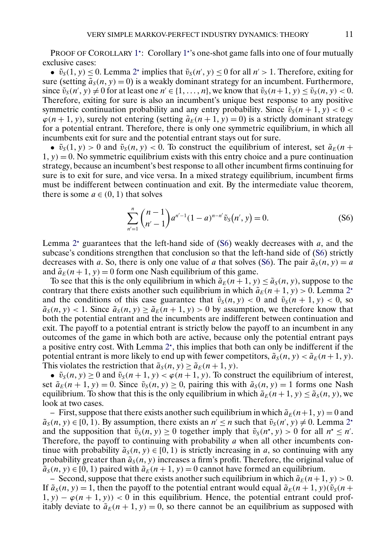PROOF OF COROLLARY [1](#page-9-0)<sup>\*</sup>: Corollary 1<sup>\*</sup>'s one-shot game falls into one of four mutually exclusive cases:

•  $\tilde{v}_s(1, y) \le 0$ . Lemma [2](#page-8-0)<sup>\*</sup> implies that  $\tilde{v}_s(n', y) \le 0$  for all  $n' > 1$ . Therefore, exiting for sure (setting  $\tilde{a}_s(n, y) = 0$ ) is a weakly dominant strategy for an incumbent. Furthermore, since  $\tilde{v}_S(n', y) \neq 0$  for at least one  $n' \in \{1, ..., n\}$ , we know that  $\tilde{v}_S(n+1, y) \leq \tilde{v}_S(n, y) < 0$ . Therefore, exiting for sure is also an incumbent's unique best response to any positive symmetric continuation probability and any entry probability. Since  $\tilde{v}_s(n + 1, y) < 0$  $\varphi$ (n + 1, y), surely not entering (setting  $\tilde{a}_E(n+1, y) = 0$ ) is a strictly dominant strategy for a potential entrant. Therefore, there is only one symmetric equilibrium, in which all incumbents exit for sure and the potential entrant stays out for sure.

•  $\tilde{v}_S(1, y) > 0$  and  $\tilde{v}_S(n, y) < 0$ . To construct the equilibrium of interest, set  $\tilde{a}_E(n +$  $1, y$  = 0. No symmetric equilibrium exists with this entry choice and a pure continuation strategy, because an incumbent's best response to all other incumbent firms continuing for sure is to exit for sure, and vice versa. In a mixed strategy equilibrium, incumbent firms must be indifferent between continuation and exit. By the intermediate value theorem, there is some  $a \in (0, 1)$  that solves

$$
\sum_{n'=1}^{n} {n-1 \choose n'-1} a^{n'-1} (1-a)^{n-n'} \tilde{\nu}_S(n',y) = 0.
$$
 (S6)

Lemma  $2^*$  $2^*$  guarantees that the left-hand side of (S6) weakly decreases with  $a$ , and the subcase's conditions strengthen that conclusion so that the left-hand side of (S6) strictly decreases with a. So, there is only one value of a that solves (S6). The pair  $\tilde{a}_s(n, y) = a$ and  $\tilde{a}_E(n+1, y) = 0$  form one Nash equilibrium of this game.

To see that this is the only equilibrium in which  $\tilde{a}_E(n+1, y) \leq \tilde{a}_S(n, y)$ , suppose to the contrary that there exists another such equilibrium in which  $\tilde{a}_E(n + 1, y) > 0$ . Lemma [2](#page-8-0)<sup>\*</sup> and the conditions of this case guarantee that  $\tilde{v}_s(n, y) < 0$  and  $\tilde{v}_s(n + 1, y) < 0$ , so  $\tilde{a}_s(n, y) < 1$ . Since  $\tilde{a}_s(n, y) \ge \tilde{a}_s(n + 1, y) > 0$  by assumption, we therefore know that both the potential entrant and the incumbents are indifferent between continuation and exit. The payoff to a potential entrant is strictly below the payoff to an incumbent in any outcomes of the game in which both are active, because only the potential entrant pays a positive entry cost. With Lemma  $2^*$  $2^*$ , this implies that both can only be indifferent if the potential entrant is more likely to end up with fewer competitors,  $\tilde{a}_{S}(n, y) < \tilde{a}_{E}(n+1, y)$ . This violates the restriction that  $\tilde{a}_s(n, y) \ge \tilde{a}_E(n + 1, y)$ .

•  $\tilde{v}_S(n, y) \ge 0$  and  $\tilde{v}_S(n+1, y) < \varphi(n+1, y)$ . To construct the equilibrium of interest, set  $\tilde{a}_E(n + 1, y) = 0$ . Since  $\tilde{v}_S(n, y) \ge 0$ , pairing this with  $\tilde{a}_S(n, y) = 1$  forms one Nash equilibrium. To show that this is the only equilibrium in which  $\tilde{a}_E(n+1, y) \leq \tilde{a}_S(n, y)$ , we look at two cases.

– First, suppose that there exists another such equilibrium in which  $\tilde{a}_E(n+1, y) = 0$  and  $\tilde{a}_s(n, y) \in [0, 1)$ . By assumption, there exists an  $n' \le n$  such that  $\tilde{v}_s(n', y) \ne 0$ . Lemma  $2^*$  $2^*$ and the supposition that  $\tilde{v}_S(n, y) \ge 0$  together imply that  $\tilde{v}_S(n^*, y) > 0$  for all  $n^* \le n'$ . Therefore, the payoff to continuing with probability  $a$  when all other incumbents continue with probability  $\tilde{a}_{s}(n, y) \in [0, 1)$  is strictly increasing in a, so continuing with any probability greater than  $\tilde{a}_{s}(n, y)$  increases a firm's profit. Therefore, the original value of  $\tilde{a}_s(n, y) \in [0, 1)$  paired with  $\tilde{a}_E(n + 1, y) = 0$  cannot have formed an equilibrium.

– Second, suppose that there exists another such equilibrium in which  $\tilde{a}_E(n+1, y) > 0$ . If  $\tilde{a}_s(n, y) = 1$ , then the payoff to the potential entrant would equal  $\tilde{a}_s(n + 1, y)(\tilde{v}_s(n +$  $1, y) - \varphi(n + 1, y) < 0$  in this equilibrium. Hence, the potential entrant could profitably deviate to  $\tilde{a}_E(n+1, y) = 0$ , so there cannot be an equilibrium as supposed with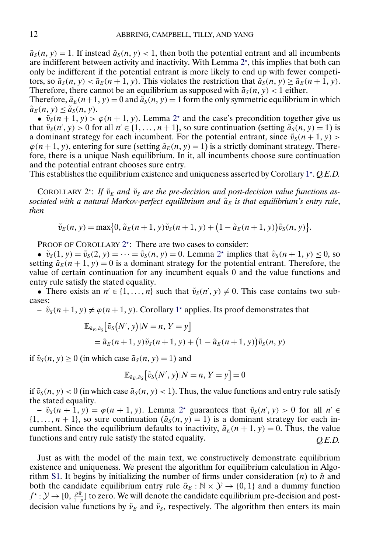<span id="page-11-0"></span> $\tilde{a}_{s}(n, y) = 1$ . If instead  $\tilde{a}_{s}(n, y) < 1$ , then both the potential entrant and all incumbents are indifferent between activity and inactivity. With Lemma  $2^*$  $2^*$ , this implies that both can only be indifferent if the potential entrant is more likely to end up with fewer competitors, so  $\tilde{a}_S(n, y) < \tilde{a}_E(n+1, y)$ . This violates the restriction that  $\tilde{a}_S(n, y) \ge \tilde{a}_E(n+1, y)$ . Therefore, there cannot be an equilibrium as supposed with  $\tilde{a}_s(n, y) < 1$  either. Therefore,  $\tilde{a}_E(n+1, y) = 0$  and  $\tilde{a}_S(n, y) = 1$  form the only symmetric equilibrium in which

 $\tilde{a}_E(n, y) \leq \tilde{a}_S(n, y)$ . •  $\tilde{v}_s(n+1, y) > \varphi(n+1, y)$ . Lemma [2](#page-8-0)<sup>\*</sup> and the case's precondition together give us

that  $\tilde{v}_s(n', y) > 0$  for all  $n' \in \{1, ..., n + 1\}$ , so sure continuation (setting  $\tilde{a}_s(n, y) = 1$ ) is a dominant strategy for each incumbent. For the potential entrant, since  $\tilde{v}_S(n+1, y)$  $\varphi$ (n+1, y), entering for sure (setting  $\tilde{a}_E(n, y) = 1$ ) is a strictly dominant strategy. Therefore, there is a unique Nash equilibrium. In it, all incumbents choose sure continuation and the potential entrant chooses sure entry.

This establishes the equilibrium existence and uniqueness asserted by Corollary [1](#page-9-0) . *Q.E.D.*

COROLLARY  $2^*$ : If  $\tilde{v}_E$  and  $\tilde{v}_S$  are the pre-decision and post-decision value functions as*sociated with a natural Markov-perfect equilibrium and*  $\tilde{a}_E$  *is that equilibrium's entry rule*, *then*

$$
\tilde{v}_E(n, y) = \max\{0, \tilde{a}_E(n+1, y)\tilde{v}_S(n+1, y) + (1 - \tilde{a}_E(n+1, y))\tilde{v}_S(n, y)\}.
$$

PROOF OF COROLLARY 2<sup>\*</sup>: There are two cases to consider:

•  $\tilde{v}_S(1, y) = \tilde{v}_S(2, y) = \cdots = \tilde{v}_S(n, y) = 0$  $\tilde{v}_S(1, y) = \tilde{v}_S(2, y) = \cdots = \tilde{v}_S(n, y) = 0$  $\tilde{v}_S(1, y) = \tilde{v}_S(2, y) = \cdots = \tilde{v}_S(n, y) = 0$ . Lemma 2<sup>\*</sup> implies that  $\tilde{v}_S(n + 1, y) \le 0$ , so setting  $\tilde{a}_E(n+1, y) = 0$  is a dominant strategy for the potential entrant. Therefore, the value of certain continuation for any incumbent equals 0 and the value functions and entry rule satisfy the stated equality.

• There exists an  $n' \in \{1, ..., n\}$  such that  $\tilde{v}_S(n', y) \neq 0$ . This case contains two subcases:

 $\tilde{v}_s(n+1, y) \neq \varphi(n+1, y)$  $\tilde{v}_s(n+1, y) \neq \varphi(n+1, y)$  $\tilde{v}_s(n+1, y) \neq \varphi(n+1, y)$ . Corollary 1<sup>\*</sup> applies. Its proof demonstrates that

$$
\mathbb{E}_{\tilde{a}_E, \tilde{a}_S} [\tilde{v}_S(N', y)|N = n, Y = y]
$$
  
=  $\tilde{a}_E(n+1, y)\tilde{v}_S(n+1, y) + (1 - \tilde{a}_E(n+1, y))\tilde{v}_S(n, y)$ 

if  $\tilde{v}_s(n, y) \ge 0$  (in which case  $\tilde{a}_s(n, y) = 1$ ) and

$$
\mathbb{E}_{\tilde{a}_E,\tilde{a}_S} \big[ \tilde{v}_S(N',y)|N=n, Y=y \big] = 0
$$

if  $\tilde{v}_s(n, y) < 0$  (in which case  $\tilde{a}_s(n, y) < 1$ ). Thus, the value functions and entry rule satisfy the stated equality.

 $- \tilde{v}_s(n+1, y) = \varphi(n+1, y)$ . Lemma [2](#page-8-0)<sup>\*</sup> guarantees that  $\tilde{v}_s(n', y) > 0$  for all  $n' \in$  $\{1, \ldots, n+1\}$ , so sure continuation  $(\tilde{a}_{s}(n, y) = 1)$  is a dominant strategy for each incumbent. Since the equilibrium defaults to inactivity,  $\tilde{a}_E(n+1, y) = 0$ . Thus, the value functions and entry rule satisfy the stated equality. *Q.E.D.*

Just as with the model of the main text, we constructively demonstrate equilibrium existence and uniqueness. We present the algorithm for equilibrium calculation in Algo-rithm [S1.](#page-12-0) It begins by initializing the number of firms under consideration  $(n)$  to  $n$  and both the candidate equilibrium entry rule  $\tilde{\alpha}_E : \mathbb{N} \times \mathcal{Y} \rightarrow \{0, 1\}$  and a dummy function  $f^{\star}: \mathcal{Y} \to [0, \frac{\rho \check{\pi}}{1-\rho}]$  to zero. We will denote the candidate equilibrium pre-decision and postdecision value functions by  $\tilde{\nu}_E$  and  $\tilde{\nu}_S$ , respectively. The algorithm then enters its main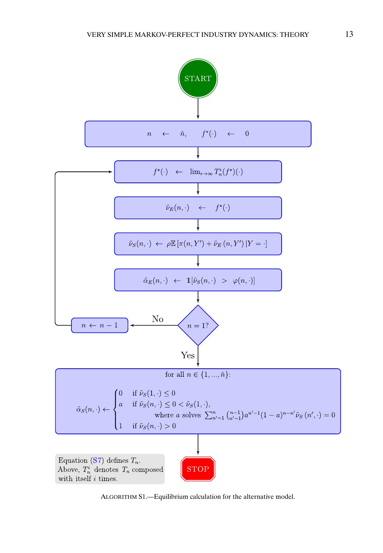<span id="page-12-0"></span>

ALGORITHM S1.—Equilibrium calculation for the alternative model.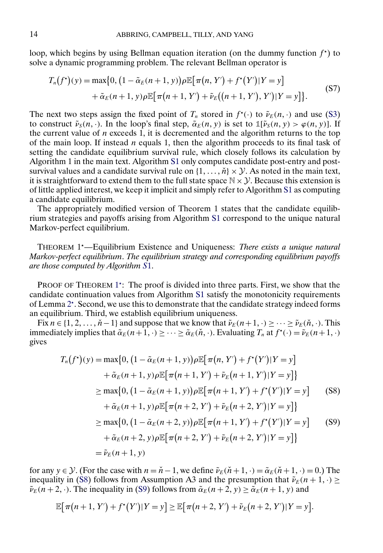loop, which begins by using Bellman equation iteration (on the dummy function  $f^*$ ) to solve a dynamic programming problem. The relevant Bellman operator is

$$
T_n(f^*)(y) = \max\{0, \left(1 - \tilde{\alpha}_E(n+1, y)\right) \rho \mathbb{E}\big[\pi(n, Y') + f^*(Y')|Y = y\big] + \tilde{\alpha}_E(n+1, y)\rho \mathbb{E}\big[\pi(n+1, Y') + \tilde{\nu}_E((n+1, Y'), Y')|Y = y\big]\}.
$$
\n(S7)

The next two steps assign the fixed point of  $T_n$  stored in  $f^*(\cdot)$  to  $\tilde{\nu}_E(n, \cdot)$  and use [\(S3\)](#page-6-0) to construct  $\tilde{\nu}_S(n, \cdot)$ . In the loop's final step,  $\tilde{\alpha}_E(n, y)$  is set to  $\mathbb{1}[\tilde{\nu}_S(n, y) > \varphi(n, y)]$ . If the current value of  $n$  exceeds 1, it is decremented and the algorithm returns to the top of the main loop. If instead  $n$  equals 1, then the algorithm proceeds to its final task of setting the candidate equilibrium survival rule, which closely follows its calculation by Algorithm 1 in the main text. Algorithm [S1](#page-12-0) only computes candidate post-entry and postsurvival values and a candidate survival rule on  $\{1, \ldots, \check{n}\} \times \mathcal{Y}$ . As noted in the main text, it is straightforward to extend them to the full state space  $\mathbb{N} \times \mathcal{Y}$ . Because this extension is of little applied interest, we keep it implicit and simply refer to Algorithm [S1](#page-12-0) as computing a candidate equilibrium.

The appropriately modified version of Theorem 1 states that the candidate equilibrium strategies and payoffs arising from Algorithm [S1](#page-12-0) correspond to the unique natural Markov-perfect equilibrium.

THEOREM 1 —Equilibrium Existence and Uniqueness: *There exists a unique natural Markov-perfect equilibrium*. *The equilibrium strategy and corresponding equilibrium payoffs are those computed by Algorithm S*[1.](#page-12-0)

PROOF OF THEOREM 1<sup>\*</sup>: The proof is divided into three parts. First, we show that the candidate continuation values from Algorithm [S1](#page-12-0) satisfy the monotonicity requirements of Lemma [2](#page-8-0) . Second, we use this to demonstrate that the candidate strategy indeed forms an equilibrium. Third, we establish equilibrium uniqueness.

Fix  $n \in \{1, 2, ..., \check{n}-1\}$  and suppose that we know that  $\tilde{\nu}_E(n+1, \cdot) \geq \cdots \geq \tilde{\nu}_E(\check{n}, \cdot)$ . This immediately implies that  $\tilde{\alpha}_E(n+1,\cdot) \geq \cdots \geq \tilde{\alpha}_E(\check{n},\cdot)$ . Evaluating  $T_n$  at  $f^{\star}(\cdot) = \tilde{\nu}_E(n+1,\cdot)$ gives

$$
T_n(f^*)(y) = \max\{0, (1 - \tilde{\alpha}_E(n+1, y))\rho \mathbb{E}[\pi(n, Y') + f^*(Y')|Y = y] \\
+ \tilde{\alpha}_E(n+1, y)\rho \mathbb{E}[\pi(n+1, Y') + \tilde{\nu}_E(n+1, Y')|Y = y]\} \\
\ge \max\{0, (1 - \tilde{\alpha}_E(n+1, y))\rho \mathbb{E}[\pi(n+1, Y') + f^*(Y')|Y = y] \\
+ \tilde{\alpha}_E(n+1, y)\rho \mathbb{E}[\pi(n+2, Y') + \tilde{\nu}_E(n+2, Y')|Y = y]\} \\
\ge \max\{0, (1 - \tilde{\alpha}_E(n+2, y))\rho \mathbb{E}[\pi(n+1, Y') + f^*(Y')|Y = y] \\
+ \tilde{\alpha}_E(n+2, y)\rho \mathbb{E}[\pi(n+2, Y') + \tilde{\nu}_E(n+2, Y')|Y = y]\} \\
= \tilde{\nu}_E(n+1, y)
$$
\n(S9)

for any  $y \in \mathcal{Y}$ . (For the case with  $n = \check{n} - 1$ , we define  $\tilde{\nu}_E(\check{n} + 1, \cdot) = \tilde{\alpha}_E(\check{n} + 1, \cdot) = 0$ .) The inequality in (S8) follows from Assumption A3 and the presumption that  $\tilde{\nu}_E(n+1,\cdot) \geq$  $\tilde{\nu}_E(n+2,\cdot)$ . The inequality in (S9) follows from  $\tilde{\alpha}_E(n+2,y) \ge \tilde{\alpha}_E(n+1,y)$  and

$$
\mathbb{E}[\pi(n+1, Y') + f^*(Y')|Y = y] \ge \mathbb{E}[\pi(n+2, Y') + \tilde{\nu}_E(n+2, Y')|Y = y].
$$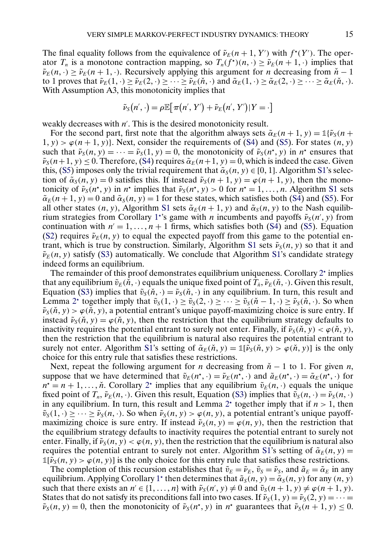The final equality follows from the equivalence of  $\tilde{\nu}_E(n+1, Y')$  with  $f^*(Y')$ . The operator  $T_n$  is a monotone contraction mapping, so  $T_n(f^{\star})(n, \cdot) \ge \tilde{\nu}_E(n+1, \cdot)$  implies that  $\tilde{\nu}_E(n, \cdot) \geq \tilde{\nu}_E(n+1, \cdot)$ . Recursively applying this argument for *n* decreasing from  $\tilde{n} - 1$ to 1 proves that  $\tilde{\nu}_E(1,\cdot) \geq \tilde{\nu}_E(2,\cdot) \geq \cdots \geq \tilde{\nu}_E(\tilde{n},\cdot)$  and  $\tilde{\alpha}_E(1,\cdot) \geq \tilde{\alpha}_E(2,\cdot) \geq \cdots \geq \tilde{\alpha}_E(\tilde{n},\cdot)$ . With Assumption A3, this monotonicity implies that

$$
\tilde{\nu}_S(n',\cdot) = \rho \mathbb{E}[\pi(n',Y') + \tilde{\nu}_E(n',Y')|Y = \cdot]
$$

weakly decreases with  $n'$ . This is the desired monotonicity result.

For the second part, first note that the algorithm always sets  $\tilde{\alpha}_E(n+1, y) = \mathbb{1}{\lbrace \tilde{\nu}_S(n+1, y) \rbrace}$  $1, y$  >  $\varphi$ (n + 1, y)}. Next, consider the requirements of [\(S4\)](#page-6-0) and [\(S5\)](#page-6-0). For states (n, y) such that  $\tilde{\nu}_S(n, y) = \cdots = \tilde{\nu}_S(1, y) = 0$ , the monotonicity of  $\tilde{\nu}_S(n^*, y)$  in  $n^*$  ensures that  $\tilde{\nu}_S(n+1, y) \leq 0$ . Therefore, [\(S4\)](#page-6-0) requires  $\tilde{\alpha}_E(n+1, y) = 0$ , which is indeed the case. Given this, [\(S5\)](#page-6-0) imposes only the trivial requirement that  $\tilde{\alpha}_s(n, y) \in [0, 1]$ . Algorithm [S1'](#page-12-0)s selection of  $\tilde{\alpha}_s(n, y) = 0$  satisfies this. If instead  $\tilde{\nu}_s(n + 1, y) = \varphi(n + 1, y)$ , then the monotonicity of  $\tilde{\nu}_S(n^*, y)$  in  $n^*$  implies that  $\tilde{\nu}_S(n^*, y) > 0$  for  $n^* = 1, ..., n$ . Algorithm [S1](#page-12-0) sets  $\tilde{\alpha}_E(n+1, y) = 0$  and  $\tilde{\alpha}_S(n, y) = 1$  for these states, which satisfies both [\(S4\)](#page-6-0) and [\(S5\)](#page-6-0). For all other states  $(n, y)$ , Algorithm [S1](#page-12-0) sets  $\tilde{\alpha}_E(n + 1, y)$  and  $\tilde{\alpha}_S(n, y)$  to the Nash equilib-rium strategies from Corollary [1](#page-9-0)<sup>\*</sup>'s game with *n* incumbents and payoffs  $\tilde{\nu}_S(n', y)$  from continuation with  $n' = 1, ..., n + 1$  firms, which satisfies both [\(S4\)](#page-6-0) and [\(S5\)](#page-6-0). Equation [\(S2\)](#page-6-0) requires  $\tilde{\nu}_E(n, y)$  to equal the expected payoff from this game to the potential en-trant, which is true by construction. Similarly, Algorithm [S1](#page-12-0) sets  $\tilde{\nu}_{s}(n, y)$  so that it and  $\tilde{\nu}_E(n, y)$  satisfy [\(S3\)](#page-6-0) automatically. We conclude that Algorithm [S1'](#page-12-0)s candidate strategy indeed forms an equilibrium.

The remainder of this proof demonstrates equilibrium uniqueness. Corollary  $2<sup>*</sup>$  $2<sup>*</sup>$  implies that any equilibrium  $\tilde{v}_E(\check{n}, \cdot)$  equals the unique fixed point of  $T_{\check{n}}, \tilde{v}_E(\check{n}, \cdot)$ . Given this result, Equation [\(S3\)](#page-6-0) implies that  $\tilde{v}_{s}(\check{n}, \cdot) = \tilde{v}_{s}(\check{n}, \cdot)$  in any equilibrium. In turn, this result and Lemma [2](#page-8-0)<sup>\*</sup> together imply that  $\tilde{v}_s(1, \cdot) \ge \tilde{v}_s(2, \cdot) \ge \cdots \ge \tilde{v}_s(\check{n} - 1, \cdot) \ge \tilde{v}_s(\check{n}, \cdot)$ . So when  $\tilde{\nu}_s(\tilde{n}, y) > \varphi(\tilde{n}, y)$ , a potential entrant's unique payoff-maximizing choice is sure entry. If instead  $\tilde{\nu}_s(\tilde{n}, y) = \varphi(\tilde{n}, y)$ , then the restriction that the equilibrium strategy defaults to inactivity requires the potential entrant to surely not enter. Finally, if  $\tilde{\nu}_S(\tilde{n}, y) < \varphi(\tilde{n}, y)$ , then the restriction that the equilibrium is natural also requires the potential entrant to surely not enter. Algorithm [S1'](#page-12-0)s setting of  $\tilde{\alpha}_E(\check{n}, y) = \mathbb{1}[\tilde{\nu}_S(\check{n}, y) > \varphi(\check{n}, y)]$  is the only choice for this entry rule that satisfies these restrictions.

Next, repeat the following argument for *n* decreasing from  $\check{n}$  − 1 to 1. For given *n*, suppose that we have determined that  $\tilde{v}_E(n^*, \cdot) = \tilde{v}_E(n^*, \cdot)$  and  $\tilde{a}_E(n^*, \cdot) = \tilde{\alpha}_E(n^*, \cdot)$  for  $n^* = n + 1, \ldots, \check{n}$ . Corollary  $2^*$  $2^*$  implies that any equilibrium  $\tilde{v}_E(n, \cdot)$  equals the unique fixed point of  $T_n$ ,  $\tilde{\nu}_E(n,\cdot)$ . Given this result, Equation [\(S3\)](#page-6-0) implies that  $\tilde{\nu}_S(n,\cdot) = \tilde{\nu}_S(n,\cdot)$ in any equilibrium. In turn, this result and Lemma  $2^*$  $2^*$  together imply that if  $n > 1$ , then  $\tilde{v}_s(1, \cdot) \geq \cdots \geq \tilde{v}_s(n, \cdot)$ . So when  $\tilde{v}_s(n, y) > \varphi(n, y)$ , a potential entrant's unique payoffmaximizing choice is sure entry. If instead  $\tilde{\nu}_s(n, y) = \varphi(n, y)$ , then the restriction that the equilibrium strategy defaults to inactivity requires the potential entrant to surely not enter. Finally, if  $\tilde{\nu}_s(n, y) < \varphi(n, y)$ , then the restriction that the equilibrium is natural also requires the potential entrant to surely not enter. Algorithm [S1'](#page-12-0)s setting of  $\tilde{\alpha}_E(n, y)$  =  $\mathbb{1}[\tilde{\nu}_S(n, y) > \varphi(n, y)]$  is the only choice for this entry rule that satisfies these restrictions.

The completion of this recursion establishes that  $\tilde{v}_E = \tilde{v}_E$ ,  $\tilde{v}_S = \tilde{v}_S$ , and  $\tilde{a}_E = \tilde{\alpha}_E$  in any equilibrium. Applying Corollary [1](#page-9-0)<sup>\*</sup> then determines that  $\tilde{a}_S(n, y) = \tilde{\alpha}_S(n, y)$  for any  $(n, y)$ such that there exists an  $n' \in \{1, ..., n\}$  with  $\tilde{\nu}_S(n', y) \neq 0$  and  $\tilde{\nu}_S(n + 1, y) \neq \varphi(n + 1, y)$ . States that do not satisfy its preconditions fall into two cases. If  $\tilde{\nu}_s(1, y) = \tilde{\nu}_s(2, y) = \cdots$  $\tilde{\nu}_S(n, y) = 0$ , then the monotonicity of  $\tilde{\nu}_S(n^*, y)$  in  $n^*$  guarantees that  $\tilde{\nu}_S(n+1, y) \leq 0$ .